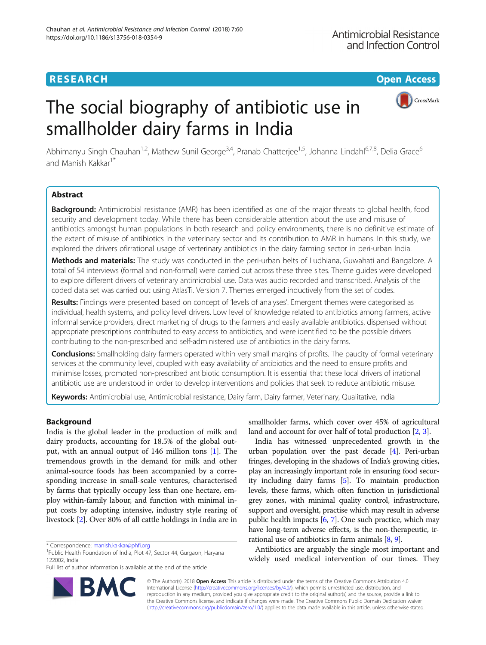## **RESEARCH CHEAR CHEAR CHEAR CHEAR CHEAR CHEAR CHEAR CHEAR CHEAR CHEAR CHEAR CHEAR CHEAR CHEAR CHEAR CHEAR CHEAR**

# The social biography of antibiotic use in smallholder dairy farms in India



Abhimanyu Singh Chauhan<sup>1,2</sup>, Mathew Sunil George<sup>3,4</sup>, Pranab Chatterjee<sup>1,5</sup>, Johanna Lindahl<sup>6,7,8</sup>, Delia Grace<sup>6</sup> and Manish Kakkar<sup>1\*</sup>

## Abstract

Background: Antimicrobial resistance (AMR) has been identified as one of the major threats to global health, food security and development today. While there has been considerable attention about the use and misuse of antibiotics amongst human populations in both research and policy environments, there is no definitive estimate of the extent of misuse of antibiotics in the veterinary sector and its contribution to AMR in humans. In this study, we explored the drivers ofirrational usage of verterinary antibiotics in the dairy farming sector in peri-urban India.

Methods and materials: The study was conducted in the peri-urban belts of Ludhiana, Guwahati and Bangalore. A total of 54 interviews (formal and non-formal) were carried out across these three sites. Theme guides were developed to explore different drivers of veterinary antimicrobial use. Data was audio recorded and transcribed. Analysis of the coded data set was carried out using AtlasTi. Version 7. Themes emerged inductively from the set of codes.

Results: Findings were presented based on concept of 'levels of analyses'. Emergent themes were categorised as individual, health systems, and policy level drivers. Low level of knowledge related to antibiotics among farmers, active informal service providers, direct marketing of drugs to the farmers and easily available antibiotics, dispensed without appropriate prescriptions contributed to easy access to antibiotics, and were identified to be the possible drivers contributing to the non-prescribed and self-administered use of antibiotics in the dairy farms.

**Conclusions:** Smallholding dairy farmers operated within very small margins of profits. The paucity of formal veterinary services at the community level, coupled with easy availability of antibiotics and the need to ensure profits and minimise losses, promoted non-prescribed antibiotic consumption. It is essential that these local drivers of irrational antibiotic use are understood in order to develop interventions and policies that seek to reduce antibiotic misuse.

Keywords: Antimicrobial use, Antimicrobial resistance, Dairy farm, Dairy farmer, Veterinary, Qualitative, India

## Background

India is the global leader in the production of milk and dairy products, accounting for 18.5% of the global output, with an annual output of 146 million tons [[1](#page-11-0)]. The tremendous growth in the demand for milk and other animal-source foods has been accompanied by a corresponding increase in small-scale ventures, characterised by farms that typically occupy less than one hectare, employ within-family labour, and function with minimal input costs by adopting intensive, industry style rearing of livestock [\[2\]](#page-11-0). Over 80% of all cattle holdings in India are in

BA



India has witnessed unprecedented growth in the urban population over the past decade [[4\]](#page-11-0). Peri-urban fringes, developing in the shadows of India's growing cities, play an increasingly important role in ensuring food security including dairy farms [\[5](#page-11-0)]. To maintain production levels, these farms, which often function in jurisdictional grey zones, with minimal quality control, infrastructure, support and oversight, practise which may result in adverse public health impacts  $[6, 7]$  $[6, 7]$  $[6, 7]$  $[6, 7]$  $[6, 7]$ . One such practice, which may have long-term adverse effects, is the non-therapeutic, irrational use of antibiotics in farm animals [\[8,](#page-11-0) [9](#page-11-0)].

Antibiotics are arguably the single most important and widely used medical intervention of our times. They

© The Author(s). 2018 Open Access This article is distributed under the terms of the Creative Commons Attribution 4.0 International License [\(http://creativecommons.org/licenses/by/4.0/](http://creativecommons.org/licenses/by/4.0/)), which permits unrestricted use, distribution, and reproduction in any medium, provided you give appropriate credit to the original author(s) and the source, provide a link to the Creative Commons license, and indicate if changes were made. The Creative Commons Public Domain Dedication waiver [\(http://creativecommons.org/publicdomain/zero/1.0/](http://creativecommons.org/publicdomain/zero/1.0/)) applies to the data made available in this article, unless otherwise stated.

<sup>\*</sup> Correspondence: [manish.kakkar@phfi.org](mailto:manish.kakkar@phfi.org) <sup>1</sup>

<sup>&</sup>lt;sup>1</sup>Public Health Foundation of India, Plot 47, Sector 44, Gurgaon, Haryana 122002, India

Full list of author information is available at the end of the article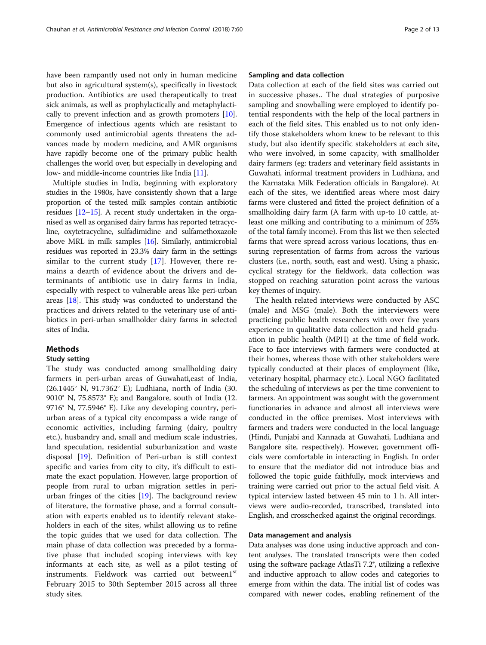have been rampantly used not only in human medicine but also in agricultural system(s), specifically in livestock production. Antibiotics are used therapeutically to treat sick animals, as well as prophylactically and metaphylactically to prevent infection and as growth promoters [[10](#page-11-0)]. Emergence of infectious agents which are resistant to commonly used antimicrobial agents threatens the advances made by modern medicine, and AMR organisms have rapidly become one of the primary public health challenges the world over, but especially in developing and low- and middle-income countries like India [\[11\]](#page-11-0).

Multiple studies in India, beginning with exploratory studies in the 1980s, have consistently shown that a large proportion of the tested milk samples contain antibiotic residues [\[12](#page-11-0)–[15\]](#page-11-0). A recent study undertaken in the organised as well as organised dairy farms has reported tetracycline, oxytetracycline, sulfadimidine and sulfamethoxazole above MRL in milk samples [[16](#page-11-0)]. Similarly, antimicrobial residues was reported in 23.3% dairy farm in the settings similar to the current study [[17](#page-12-0)]. However, there remains a dearth of evidence about the drivers and determinants of antibiotic use in dairy farms in India, especially with respect to vulnerable areas like peri-urban areas [\[18\]](#page-12-0). This study was conducted to understand the practices and drivers related to the veterinary use of antibiotics in peri-urban smallholder dairy farms in selected sites of India.

#### **Methods**

#### Study setting

The study was conducted among smallholding dairy farmers in peri-urban areas of Guwahati,east of India, (26.1445° N, 91.7362° E); Ludhiana, north of India (30. 9010° N, 75.8573° E); and Bangalore, south of India (12. 9716° N, 77.5946° E). Like any developing country, periurban areas of a typical city encompass a wide range of economic activities, including farming (dairy, poultry etc.), husbandry and, small and medium scale industries, land speculation, residential suburbanization and waste disposal [\[19\]](#page-12-0). Definition of Peri-urban is still context specific and varies from city to city, it's difficult to estimate the exact population. However, large proportion of people from rural to urban migration settles in periurban fringes of the cities [[19](#page-12-0)]. The background review of literature, the formative phase, and a formal consultation with experts enabled us to identify relevant stakeholders in each of the sites, whilst allowing us to refine the topic guides that we used for data collection. The main phase of data collection was preceded by a formative phase that included scoping interviews with key informants at each site, as well as a pilot testing of instruments. Fieldwork was carried out between1st February 2015 to 30th September 2015 across all three study sites.

#### Sampling and data collection

Data collection at each of the field sites was carried out in successive phases.. The dual strategies of purposive sampling and snowballing were employed to identify potential respondents with the help of the local partners in each of the field sites. This enabled us to not only identify those stakeholders whom knew to be relevant to this study, but also identify specific stakeholders at each site, who were involved, in some capacity, with smallholder dairy farmers (eg: traders and veterinary field assistants in Guwahati, informal treatment providers in Ludhiana, and the Karnataka Milk Federation officials in Bangalore). At each of the sites, we identified areas where most dairy farms were clustered and fitted the project definition of a smallholding dairy farm (A farm with up-to 10 cattle, atleast one milking and contributing to a minimum of 25% of the total family income). From this list we then selected farms that were spread across various locations, thus ensuring representation of farms from across the various clusters (i.e., north, south, east and west). Using a phasic, cyclical strategy for the fieldwork, data collection was stopped on reaching saturation point across the various key themes of inquiry.

The health related interviews were conducted by ASC (male) and MSG (male). Both the interviewers were practicing public health researchers with over five years experience in qualitative data collection and held graduation in public health (MPH) at the time of field work. Face to face interviews with farmers were conducted at their homes, whereas those with other stakeholders were typically conducted at their places of employment (like, veterinary hospital, pharmacy etc.). Local NGO facilitated the scheduling of interviews as per the time convenient to farmers. An appointment was sought with the government functionaries in advance and almost all interviews were conducted in the office premises. Most interviews with farmers and traders were conducted in the local language (Hindi, Punjabi and Kannada at Guwahati, Ludhiana and Bangalore site, respectively). However, government officials were comfortable in interacting in English. In order to ensure that the mediator did not introduce bias and followed the topic guide faithfully, mock interviews and training were carried out prior to the actual field visit. A typical interview lasted between 45 min to 1 h. All interviews were audio-recorded, transcribed, translated into English, and crosschecked against the original recordings.

#### Data management and analysis

Data analyses was done using inductive approach and content analyses. The translated transcripts were then coded using the software package AtlasTi 7.2®, utilizing a reflexive and inductive approach to allow codes and categories to emerge from within the data. The initial list of codes was compared with newer codes, enabling refinement of the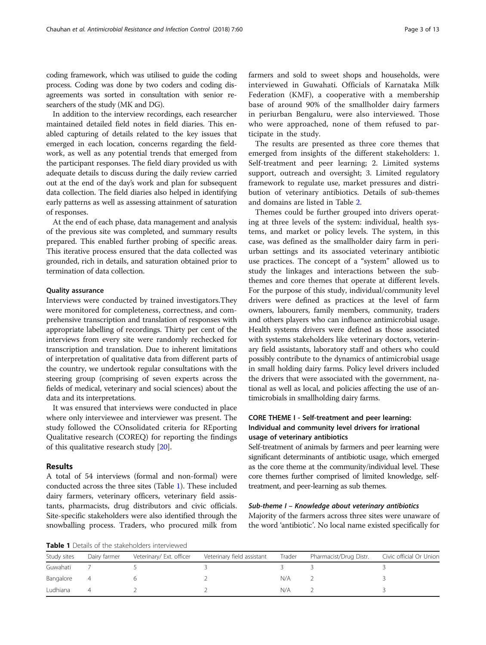coding framework, which was utilised to guide the coding process. Coding was done by two coders and coding disagreements was sorted in consultation with senior researchers of the study (MK and DG).

In addition to the interview recordings, each researcher maintained detailed field notes in field diaries. This enabled capturing of details related to the key issues that emerged in each location, concerns regarding the fieldwork, as well as any potential trends that emerged from the participant responses. The field diary provided us with adequate details to discuss during the daily review carried out at the end of the day's work and plan for subsequent data collection. The field diaries also helped in identifying early patterns as well as assessing attainment of saturation of responses.

At the end of each phase, data management and analysis of the previous site was completed, and summary results prepared. This enabled further probing of specific areas. This iterative process ensured that the data collected was grounded, rich in details, and saturation obtained prior to termination of data collection.

#### Quality assurance

Interviews were conducted by trained investigators.They were monitored for completeness, correctness, and comprehensive transcription and translation of responses with appropriate labelling of recordings. Thirty per cent of the interviews from every site were randomly rechecked for transcription and translation. Due to inherent limitations of interpretation of qualitative data from different parts of the country, we undertook regular consultations with the steering group (comprising of seven experts across the fields of medical, veterinary and social sciences) about the data and its interpretations.

It was ensured that interviews were conducted in place where only interviewee and interviewer was present. The study followed the COnsolidated criteria for REporting Qualitative research (COREQ) for reporting the findings of this qualitative research study [[20](#page-12-0)].

#### Results

A total of 54 interviews (formal and non-formal) were conducted across the three sites (Table 1). These included dairy farmers, veterinary officers, veterinary field assistants, pharmacists, drug distributors and civic officials. Site-specific stakeholders were also identified through the snowballing process. Traders, who procured milk from

farmers and sold to sweet shops and households, were interviewed in Guwahati. Officials of Karnataka Milk Federation (KMF), a cooperative with a membership base of around 90% of the smallholder dairy farmers in periurban Bengaluru, were also interviewed. Those who were approached, none of them refused to participate in the study.

The results are presented as three core themes that emerged from insights of the different stakeholders: 1. Self-treatment and peer learning; 2. Limited systems support, outreach and oversight; 3. Limited regulatory framework to regulate use, market pressures and distribution of veterinary antibiotics. Details of sub-themes and domains are listed in Table [2](#page-3-0).

Themes could be further grouped into drivers operating at three levels of the system: individual, health systems, and market or policy levels. The system, in this case, was defined as the smallholder dairy farm in periurban settings and its associated veterinary antibiotic use practices. The concept of a "system" allowed us to study the linkages and interactions between the subthemes and core themes that operate at different levels. For the purpose of this study, individual/community level drivers were defined as practices at the level of farm owners, labourers, family members, community, traders and others players who can influence antimicrobial usage. Health systems drivers were defined as those associated with systems stakeholders like veterinary doctors, veterinary field assistants, laboratory staff and others who could possibly contribute to the dynamics of antimicrobial usage in small holding dairy farms. Policy level drivers included the drivers that were associated with the government, national as well as local, and policies affecting the use of antimicrobials in smallholding dairy farms.

## CORE THEME I - Self-treatment and peer learning: Individual and community level drivers for irrational usage of veterinary antibiotics

Self-treatment of animals by farmers and peer learning were significant determinants of antibiotic usage, which emerged as the core theme at the community/individual level. These core themes further comprised of limited knowledge, selftreatment, and peer-learning as sub themes.

#### Sub-theme I – Knowledge about veterinary antibiotics

Majority of the farmers across three sites were unaware of the word 'antibiotic'. No local name existed specifically for

Table 1 Details of the stakeholders interviewed

| Study sites | Dairy farmer | Veterinary/ Ext. officer | Veterinary field assistant | Trader | Pharmacist/Drug Distr. | Civic official Or Union |
|-------------|--------------|--------------------------|----------------------------|--------|------------------------|-------------------------|
| Guwahati    |              |                          |                            |        |                        |                         |
| Bangalore   | 4            |                          |                            | N/A    |                        |                         |
| Ludhiana    |              |                          |                            | N/A    |                        |                         |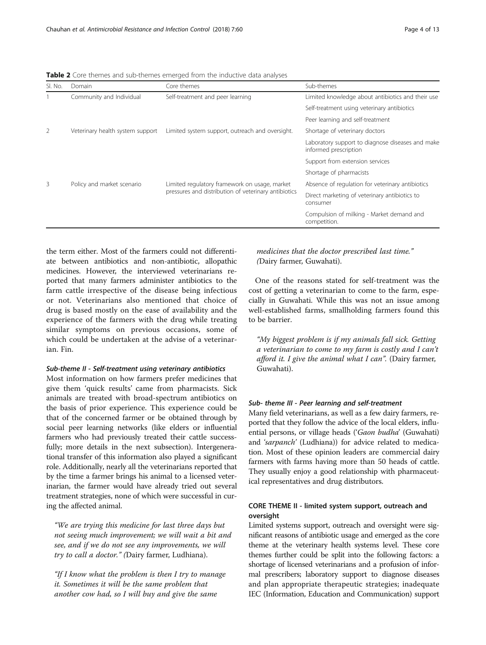Sl. No. Domain Core themes Sub-themes Sub-themes 1 Community and Individual Self-treatment and peer learning Limited knowledge about antibiotics and their use Self-treatment using veterinary antibiotics Peer learning and self-treatment 2 Veterinary health system support Limited system support, outreach and oversight. Shortage of veterinary doctors Laboratory support to diagnose diseases and make informed prescription Support from extension services Shortage of pharmacists 3 Policy and market scenario Limited regulatory framework on usage, market pressures and distribution of veterinary antibiotics Absence of regulation for veterinary antibiotics Direct marketing of veterinary antibiotics to consumer Compulsion of milking - Market demand and competition.

<span id="page-3-0"></span>Table 2 Core themes and sub-themes emerged from the inductive data analyses

the term either. Most of the farmers could not differentiate between antibiotics and non-antibiotic, allopathic medicines. However, the interviewed veterinarians reported that many farmers administer antibiotics to the farm cattle irrespective of the disease being infectious or not. Veterinarians also mentioned that choice of drug is based mostly on the ease of availability and the experience of the farmers with the drug while treating similar symptoms on previous occasions, some of which could be undertaken at the advise of a veterinarian. Fin.

## Sub-theme II - Self-treatment using veterinary antibiotics

Most information on how farmers prefer medicines that give them 'quick results' came from pharmacists. Sick animals are treated with broad-spectrum antibiotics on the basis of prior experience. This experience could be that of the concerned farmer or be obtained through by social peer learning networks (like elders or influential farmers who had previously treated their cattle successfully; more details in the next subsection). Intergenerational transfer of this information also played a significant role. Additionally, nearly all the veterinarians reported that by the time a farmer brings his animal to a licensed veterinarian, the farmer would have already tried out several treatment strategies, none of which were successful in curing the affected animal.

"We are trying this medicine for last three days but not seeing much improvement; we will wait a bit and see, and if we do not see any improvements, we will try to call a doctor." (Dairy farmer, Ludhiana).

"If I know what the problem is then I try to manage it. Sometimes it will be the same problem that another cow had, so I will buy and give the same

medicines that the doctor prescribed last time." (Dairy farmer, Guwahati).

One of the reasons stated for self-treatment was the cost of getting a veterinarian to come to the farm, especially in Guwahati. While this was not an issue among well-established farms, smallholding farmers found this to be barrier.

"My biggest problem is if my animals fall sick. Getting a veterinarian to come to my farm is costly and I can't afford it. I give the animal what I can". (Dairy farmer, Guwahati).

#### Sub- theme III - Peer learning and self-treatment

Many field veterinarians, as well as a few dairy farmers, reported that they follow the advice of the local elders, influential persons, or village heads ('Gaon budha' (Guwahati) and 'sarpanch' (Ludhiana)) for advice related to medication. Most of these opinion leaders are commercial dairy farmers with farms having more than 50 heads of cattle. They usually enjoy a good relationship with pharmaceutical representatives and drug distributors.

## CORE THEME II - limited system support, outreach and oversight

Limited systems support, outreach and oversight were significant reasons of antibiotic usage and emerged as the core theme at the veterinary health systems level. These core themes further could be split into the following factors: a shortage of licensed veterinarians and a profusion of informal prescribers; laboratory support to diagnose diseases and plan appropriate therapeutic strategies; inadequate IEC (Information, Education and Communication) support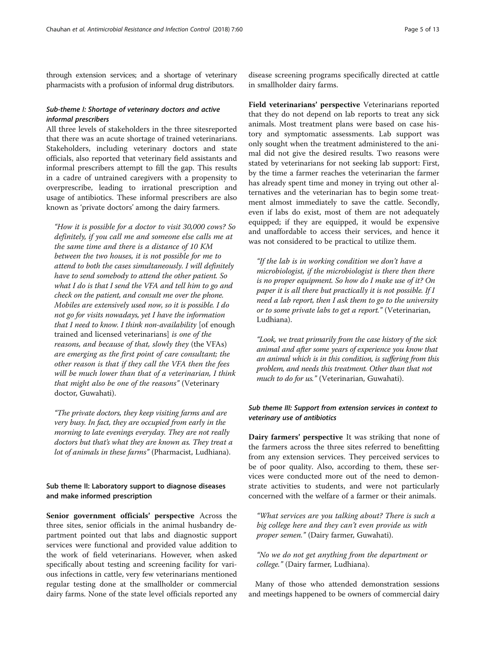through extension services; and a shortage of veterinary pharmacists with a profusion of informal drug distributors.

## Sub-theme I: Shortage of veterinary doctors and active informal prescribers

All three levels of stakeholders in the three sitesreported that there was an acute shortage of trained veterinarians. Stakeholders, including veterinary doctors and state officials, also reported that veterinary field assistants and informal prescribers attempt to fill the gap. This results in a cadre of untrained caregivers with a propensity to overprescribe, leading to irrational prescription and usage of antibiotics. These informal prescribers are also known as 'private doctors' among the dairy farmers.

"How it is possible for a doctor to visit 30,000 cows? So definitely, if you call me and someone else calls me at the same time and there is a distance of 10 KM between the two houses, it is not possible for me to attend to both the cases simultaneously. I will definitely have to send somebody to attend the other patient. So what I do is that I send the VFA and tell him to go and check on the patient, and consult me over the phone. Mobiles are extensively used now, so it is possible. I do not go for visits nowadays, yet I have the information that I need to know. I think non-availability [of enough trained and licensed veterinarians] is one of the reasons, and because of that, slowly they (the VFAs) are emerging as the first point of care consultant; the other reason is that if they call the VFA then the fees will be much lower than that of a veterinarian, I think that might also be one of the reasons" (Veterinary doctor, Guwahati).

"The private doctors, they keep visiting farms and are very busy. In fact, they are occupied from early in the morning to late evenings everyday. They are not really doctors but that's what they are known as. They treat a lot of animals in these farms" (Pharmacist, Ludhiana).

## Sub theme II: Laboratory support to diagnose diseases and make informed prescription

Senior government officials' perspective Across the three sites, senior officials in the animal husbandry department pointed out that labs and diagnostic support services were functional and provided value addition to the work of field veterinarians. However, when asked specifically about testing and screening facility for various infections in cattle, very few veterinarians mentioned regular testing done at the smallholder or commercial dairy farms. None of the state level officials reported any

disease screening programs specifically directed at cattle in smallholder dairy farms.

Field veterinarians' perspective Veterinarians reported that they do not depend on lab reports to treat any sick animals. Most treatment plans were based on case history and symptomatic assessments. Lab support was only sought when the treatment administered to the animal did not give the desired results. Two reasons were stated by veterinarians for not seeking lab support: First, by the time a farmer reaches the veterinarian the farmer has already spent time and money in trying out other alternatives and the veterinarian has to begin some treatment almost immediately to save the cattle. Secondly, even if labs do exist, most of them are not adequately equipped; if they are equipped, it would be expensive and unaffordable to access their services, and hence it was not considered to be practical to utilize them.

"If the lab is in working condition we don't have a microbiologist, if the microbiologist is there then there is no proper equipment. So how do I make use of it? On paper it is all there but practically it is not possible. If I need a lab report, then I ask them to go to the university or to some private labs to get a report." (Veterinarian, Ludhiana).

"Look, we treat primarily from the case history of the sick animal and after some years of experience you know that an animal which is in this condition, is suffering from this problem, and needs this treatment. Other than that not much to do for us." (Veterinarian, Guwahati).

## Sub theme III: Support from extension services in context to veterinary use of antibiotics

Dairy farmers' perspective It was striking that none of the farmers across the three sites referred to benefitting from any extension services. They perceived services to be of poor quality. Also, according to them, these services were conducted more out of the need to demonstrate activities to students, and were not particularly concerned with the welfare of a farmer or their animals.

"What services are you talking about? There is such a big college here and they can't even provide us with proper semen." (Dairy farmer, Guwahati).

"No we do not get anything from the department or college." (Dairy farmer, Ludhiana).

Many of those who attended demonstration sessions and meetings happened to be owners of commercial dairy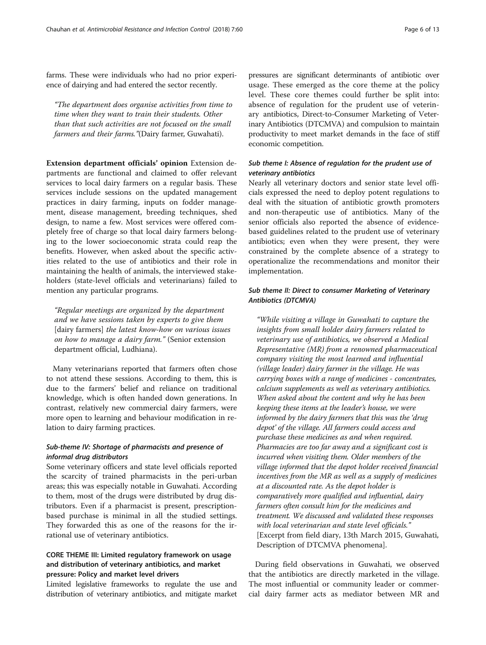farms. These were individuals who had no prior experience of dairying and had entered the sector recently.

"The department does organise activities from time to time when they want to train their students. Other than that such activities are not focused on the small farmers and their farms."(Dairy farmer, Guwahati).

Extension department officials' opinion Extension departments are functional and claimed to offer relevant services to local dairy farmers on a regular basis. These services include sessions on the updated management practices in dairy farming, inputs on fodder management, disease management, breeding techniques, shed design, to name a few. Most services were offered completely free of charge so that local dairy farmers belonging to the lower socioeconomic strata could reap the benefits. However, when asked about the specific activities related to the use of antibiotics and their role in maintaining the health of animals, the interviewed stakeholders (state-level officials and veterinarians) failed to mention any particular programs.

"Regular meetings are organized by the department and we have sessions taken by experts to give them [dairy farmers] the latest know-how on various issues on how to manage a dairy farm." (Senior extension department official, Ludhiana).

Many veterinarians reported that farmers often chose to not attend these sessions. According to them, this is due to the farmers' belief and reliance on traditional knowledge, which is often handed down generations. In contrast, relatively new commercial dairy farmers, were more open to learning and behaviour modification in relation to dairy farming practices.

## Sub-theme IV: Shortage of pharmacists and presence of informal drug distributors

Some veterinary officers and state level officials reported the scarcity of trained pharmacists in the peri-urban areas; this was especially notable in Guwahati. According to them, most of the drugs were distributed by drug distributors. Even if a pharmacist is present, prescriptionbased purchase is minimal in all the studied settings. They forwarded this as one of the reasons for the irrational use of veterinary antibiotics.

## CORE THEME III: Limited regulatory framework on usage and distribution of veterinary antibiotics, and market pressure: Policy and market level drivers

Limited legislative frameworks to regulate the use and distribution of veterinary antibiotics, and mitigate market

pressures are significant determinants of antibiotic over usage. These emerged as the core theme at the policy level. These core themes could further be split into: absence of regulation for the prudent use of veterinary antibiotics, Direct-to-Consumer Marketing of Veterinary Antibiotics (DTCMVA) and compulsion to maintain productivity to meet market demands in the face of stiff economic competition.

## Sub theme I: Absence of regulation for the prudent use of veterinary antibiotics

Nearly all veterinary doctors and senior state level officials expressed the need to deploy potent regulations to deal with the situation of antibiotic growth promoters and non-therapeutic use of antibiotics. Many of the senior officials also reported the absence of evidencebased guidelines related to the prudent use of veterinary antibiotics; even when they were present, they were constrained by the complete absence of a strategy to operationalize the recommendations and monitor their implementation.

## Sub theme II: Direct to consumer Marketing of Veterinary Antibiotics (DTCMVA)

"While visiting a village in Guwahati to capture the insights from small holder dairy farmers related to veterinary use of antibiotics, we observed a Medical Representative (MR) from a renowned pharmaceutical company visiting the most learned and influential (village leader) dairy farmer in the village. He was carrying boxes with a range of medicines - concentrates, calcium supplements as well as veterinary antibiotics. When asked about the content and why he has been keeping these items at the leader's house, we were informed by the dairy farmers that this was the 'drug depot' of the village. All farmers could access and purchase these medicines as and when required. Pharmacies are too far away and a significant cost is incurred when visiting them. Older members of the village informed that the depot holder received financial incentives from the MR as well as a supply of medicines at a discounted rate. As the depot holder is comparatively more qualified and influential, dairy farmers often consult him for the medicines and treatment. We discussed and validated these responses with local veterinarian and state level officials." [Excerpt from field diary, 13th March 2015, Guwahati, Description of DTCMVA phenomena].

During field observations in Guwahati, we observed that the antibiotics are directly marketed in the village. The most influential or community leader or commercial dairy farmer acts as mediator between MR and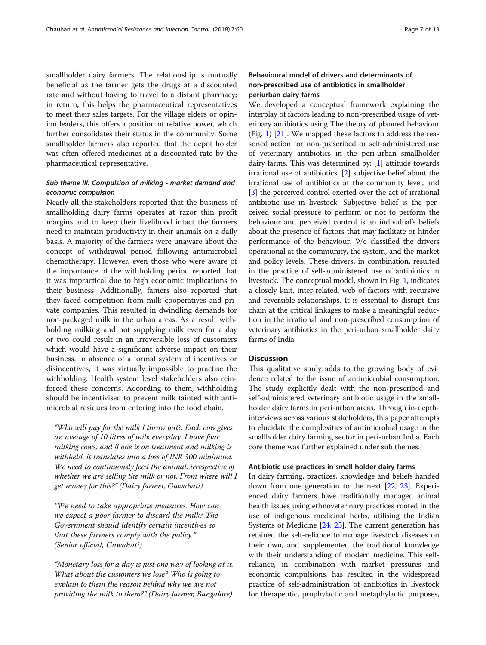smallholder dairy farmers. The relationship is mutually beneficial as the farmer gets the drugs at a discounted rate and without having to travel to a distant pharmacy; in return, this helps the pharmaceutical representatives to meet their sales targets. For the village elders or opinion leaders, this offers a position of relative power, which further consolidates their status in the community. Some smallholder farmers also reported that the depot holder was often offered medicines at a discounted rate by the pharmaceutical representative.

## Sub theme III: Compulsion of milking - market demand and economic compulsion

Nearly all the stakeholders reported that the business of smallholding dairy farms operates at razor thin profit margins and to keep their livelihood intact the farmers need to maintain productivity in their animals on a daily basis. A majority of the farmers were unaware about the concept of withdrawal period following antimicrobial chemotherapy. However, even those who were aware of the importance of the withholding period reported that it was impractical due to high economic implications to their business. Additionally, famers also reported that they faced competition from milk cooperatives and private companies. This resulted in dwindling demands for non-packaged milk in the urban areas. As a result withholding milking and not supplying milk even for a day or two could result in an irreversible loss of customers which would have a significant adverse impact on their business. In absence of a formal system of incentives or disincentives, it was virtually impossible to practise the withholding. Health system level stakeholders also reinforced these concerns. According to them, withholding should be incentivised to prevent milk tainted with antimicrobial residues from entering into the food chain.

"Who will pay for the milk I throw out?. Each cow gives an average of 10 litres of milk everyday. I have four milking cows, and if one is on treatment and milking is withheld, it translates into a loss of INR 300 minimum. We need to continuously feed the animal, irrespective of whether we are selling the milk or not. From where will I get money for this?" (Dairy farmer, Guwahati)

"We need to take appropriate measures. How can we expect a poor farmer to discard the milk? The Government should identify certain incentives so that these farmers comply with the policy." (Senior official, Guwahati)

"Monetary loss for a day is just one way of looking at it. What about the customers we lose? Who is going to explain to them the reason behind why we are not providing the milk to them?" (Dairy farmer, Bangalore)

## Behavioural model of drivers and determinants of non-prescribed use of antibiotics in smallholder periurban dairy farms

We developed a conceptual framework explaining the interplay of factors leading to non-prescribed usage of veterinary antibiotics using The theory of planned behaviour (Fig. [1\)](#page-7-0) [\[21\]](#page-12-0). We mapped these factors to address the reasoned action for non-prescribed or self-administered use of veterinary antibiotics in the peri-urban smallholder dairy farms. This was determined by: [[1\]](#page-11-0) attitude towards irrational use of antibiotics, [[2\]](#page-11-0) subjective belief about the irrational use of antibiotics at the community level, and [[3\]](#page-11-0) the perceived control exerted over the act of irrational antibiotic use in livestock. Subjective belief is the perceived social pressure to perform or not to perform the behaviour and perceived control is an individual's beliefs about the presence of factors that may facilitate or hinder performance of the behaviour. We classified the drivers operational at the community, the system, and the market and policy levels. These drivers, in combination, resulted in the practice of self-administered use of antibiotics in livestock. The conceptual model, shown in Fig. [1,](#page-7-0) indicates a closely knit, inter-related, web of factors with recursive and reversible relationships. It is essential to disrupt this chain at the critical linkages to make a meaningful reduction in the irrational and non-prescribed consumption of veterinary antibiotics in the peri-urban smallholder dairy farms of India.

#### **Discussion**

This qualitative study adds to the growing body of evidence related to the issue of antimicrobial consumption. The study explicitly dealt with the non-prescribed and self-administered veterinary antibiotic usage in the smallholder dairy farms in peri-urban areas. Through in-depthinterviews across various stakeholders, this paper attempts to elucidate the complexities of antimicrobial usage in the smallholder dairy farming sector in peri-urban India. Each core theme was further explained under sub themes.

#### Antibiotic use practices in small holder dairy farms

In dairy farming, practices, knowledge and beliefs handed down from one generation to the next [\[22](#page-12-0), [23\]](#page-12-0). Experienced dairy farmers have traditionally managed animal health issues using ethnoveterinary practices rooted in the use of indigenous medicinal herbs, utilising the Indian Systems of Medicine [[24](#page-12-0), [25](#page-12-0)]. The current generation has retained the self-reliance to manage livestock diseases on their own, and supplemented the traditional knowledge with their understanding of modern medicine. This selfreliance, in combination with market pressures and economic compulsions, has resulted in the widespread practice of self-administration of antibiotics in livestock for therapeutic, prophylactic and metaphylactic purposes,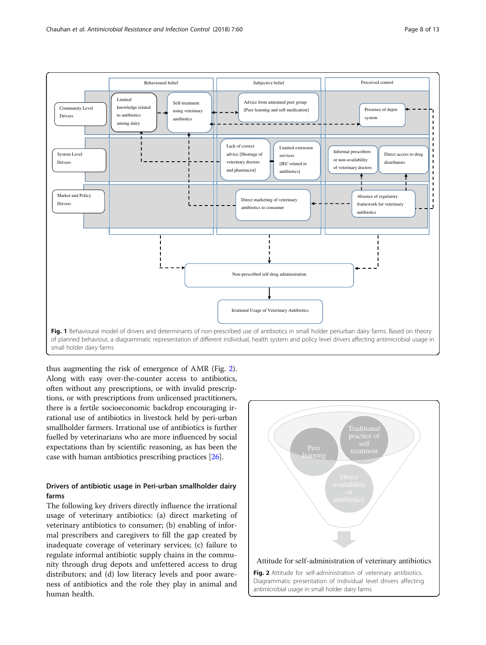<span id="page-7-0"></span>

of planned behaviour, a diagrammatic representation of different individual, health system and policy level drivers affecting antimicrobial usage in small holder dairy farms

thus augmenting the risk of emergence of AMR (Fig. 2). Along with easy over-the-counter access to antibiotics, often without any prescriptions, or with invalid prescriptions, or with prescriptions from unlicensed practitioners, there is a fertile socioeconomic backdrop encouraging irrational use of antibiotics in livestock held by peri-urban smallholder farmers. Irrational use of antibiotics is further fuelled by veterinarians who are more influenced by social expectations than by scientific reasoning, as has been the case with human antibiotics prescribing practices [\[26\]](#page-12-0).

## Drivers of antibiotic usage in Peri-urban smallholder dairy farms

The following key drivers directly influence the irrational usage of veterinary antibiotics: (a) direct marketing of veterinary antibiotics to consumer; (b) enabling of informal prescribers and caregivers to fill the gap created by inadequate coverage of veterinary services; (c) failure to regulate informal antibiotic supply chains in the community through drug depots and unfettered access to drug distributors; and (d) low literacy levels and poor awareness of antibiotics and the role they play in animal and human health.

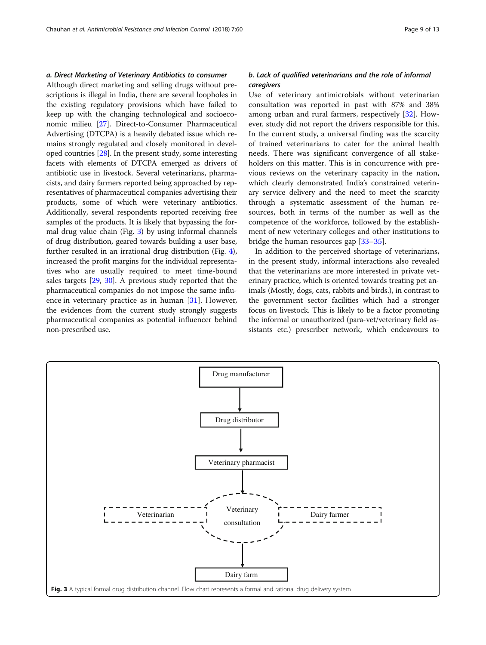#### a. Direct Marketing of Veterinary Antibiotics to consumer

Although direct marketing and selling drugs without prescriptions is illegal in India, there are several loopholes in the existing regulatory provisions which have failed to keep up with the changing technological and socioeconomic milieu [\[27\]](#page-12-0). Direct-to-Consumer Pharmaceutical Advertising (DTCPA) is a heavily debated issue which remains strongly regulated and closely monitored in developed countries [[28](#page-12-0)]. In the present study, some interesting facets with elements of DTCPA emerged as drivers of antibiotic use in livestock. Several veterinarians, pharmacists, and dairy farmers reported being approached by representatives of pharmaceutical companies advertising their products, some of which were veterinary antibiotics. Additionally, several respondents reported receiving free samples of the products. It is likely that bypassing the formal drug value chain (Fig. 3) by using informal channels of drug distribution, geared towards building a user base, further resulted in an irrational drug distribution (Fig. [4](#page-9-0)), increased the profit margins for the individual representatives who are usually required to meet time-bound sales targets [[29](#page-12-0), [30\]](#page-12-0). A previous study reported that the pharmaceutical companies do not impose the same influence in veterinary practice as in human [\[31](#page-12-0)]. However, the evidences from the current study strongly suggests pharmaceutical companies as potential influencer behind non-prescribed use.

## b. Lack of qualified veterinarians and the role of informal caregivers

Use of veterinary antimicrobials without veterinarian consultation was reported in past with 87% and 38% among urban and rural farmers, respectively [[32\]](#page-12-0). However, study did not report the drivers responsible for this. In the current study, a universal finding was the scarcity of trained veterinarians to cater for the animal health needs. There was significant convergence of all stakeholders on this matter. This is in concurrence with previous reviews on the veterinary capacity in the nation, which clearly demonstrated India's constrained veterinary service delivery and the need to meet the scarcity through a systematic assessment of the human resources, both in terms of the number as well as the competence of the workforce, followed by the establishment of new veterinary colleges and other institutions to bridge the human resources gap [[33](#page-12-0)–[35](#page-12-0)].

In addition to the perceived shortage of veterinarians, in the present study, informal interactions also revealed that the veterinarians are more interested in private veterinary practice, which is oriented towards treating pet animals (Mostly, dogs, cats, rabbits and birds.), in contrast to the government sector facilities which had a stronger focus on livestock. This is likely to be a factor promoting the informal or unauthorized (para-vet/veterinary field assistants etc.) prescriber network, which endeavours to

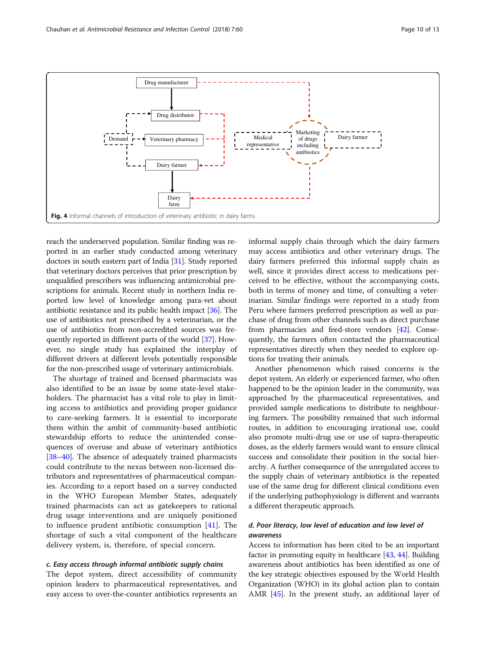<span id="page-9-0"></span>

reach the underserved population. Similar finding was reported in an earlier study conducted among veterinary doctors in south eastern part of India [\[31\]](#page-12-0). Study reported that veterinary doctors perceives that prior prescription by unqualified prescribers was influencing antimicrobial prescriptions for animals. Recent study in northern India reported low level of knowledge among para-vet about antibiotic resistance and its public health impact [\[36\]](#page-12-0). The use of antibiotics not prescribed by a veterinarian, or the use of antibiotics from non-accredited sources was frequently reported in different parts of the world [\[37\]](#page-12-0). However, no single study has explained the interplay of different drivers at different levels potentially responsible for the non-prescribed usage of veterinary antimicrobials.

The shortage of trained and licensed pharmacists was also identified to be an issue by some state-level stakeholders. The pharmacist has a vital role to play in limiting access to antibiotics and providing proper guidance to care-seeking farmers. It is essential to incorporate them within the ambit of community-based antibiotic stewardship efforts to reduce the unintended consequences of overuse and abuse of veterinary antibiotics [[38](#page-12-0)–[40](#page-12-0)]. The absence of adequately trained pharmacists could contribute to the nexus between non-licensed distributors and representatives of pharmaceutical companies. According to a report based on a survey conducted in the WHO European Member States, adequately trained pharmacists can act as gatekeepers to rational drug usage interventions and are uniquely positioned to influence prudent antibiotic consumption [[41\]](#page-12-0). The shortage of such a vital component of the healthcare delivery system, is, therefore, of special concern.

#### c. Easy access through informal antibiotic supply chains

The depot system, direct accessibility of community opinion leaders to pharmaceutical representatives, and easy access to over-the-counter antibiotics represents an informal supply chain through which the dairy farmers may access antibiotics and other veterinary drugs. The dairy farmers preferred this informal supply chain as well, since it provides direct access to medications perceived to be effective, without the accompanying costs, both in terms of money and time, of consulting a veterinarian. Similar findings were reported in a study from Peru where farmers preferred prescription as well as purchase of drug from other channels such as direct purchase from pharmacies and feed-store vendors [\[42\]](#page-12-0). Consequently, the farmers often contacted the pharmaceutical representatives directly when they needed to explore options for treating their animals.

Another phenomenon which raised concerns is the depot system. An elderly or experienced farmer, who often happened to be the opinion leader in the community, was approached by the pharmaceutical representatives, and provided sample medications to distribute to neighbouring farmers. The possibility remained that such informal routes, in addition to encouraging irrational use, could also promote multi-drug use or use of supra-therapeutic doses, as the elderly farmers would want to ensure clinical success and consolidate their position in the social hierarchy. A further consequence of the unregulated access to the supply chain of veterinary antibiotics is the repeated use of the same drug for different clinical conditions even if the underlying pathophysiology is different and warrants a different therapeutic approach.

## d. Poor literacy, low level of education and low level of awareness

Access to information has been cited to be an important factor in promoting equity in healthcare [[43](#page-12-0), [44\]](#page-12-0). Building awareness about antibiotics has been identified as one of the key strategic objectives espoused by the World Health Organization (WHO) in its global action plan to contain AMR [[45](#page-12-0)]. In the present study, an additional layer of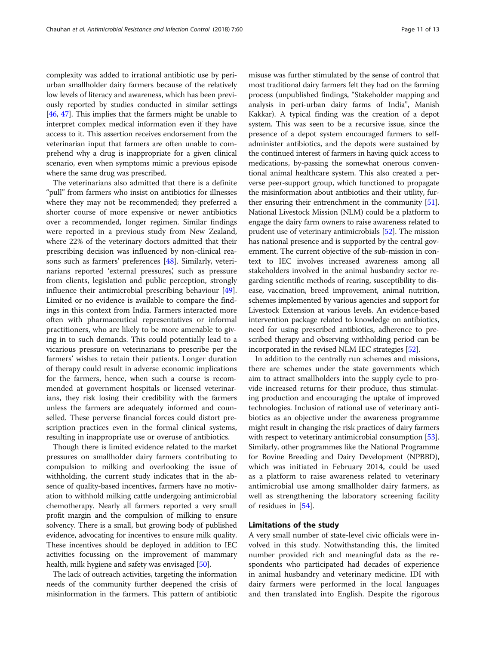complexity was added to irrational antibiotic use by periurban smallholder dairy farmers because of the relatively low levels of literacy and awareness, which has been previously reported by studies conducted in similar settings [[46](#page-12-0), [47](#page-12-0)]. This implies that the farmers might be unable to interpret complex medical information even if they have access to it. This assertion receives endorsement from the veterinarian input that farmers are often unable to comprehend why a drug is inappropriate for a given clinical scenario, even when symptoms mimic a previous episode where the same drug was prescribed.

The veterinarians also admitted that there is a definite "pull" from farmers who insist on antibiotics for illnesses where they may not be recommended; they preferred a shorter course of more expensive or newer antibiotics over a recommended, longer regimen. Similar findings were reported in a previous study from New Zealand, where 22% of the veterinary doctors admitted that their prescribing decision was influenced by non-clinical reasons such as farmers' preferences [[48](#page-12-0)]. Similarly, veterinarians reported 'external pressures', such as pressure from clients, legislation and public perception, strongly influence their antimicrobial prescribing behaviour [\[49](#page-12-0)]. Limited or no evidence is available to compare the findings in this context from India. Farmers interacted more often with pharmaceutical representatives or informal practitioners, who are likely to be more amenable to giving in to such demands. This could potentially lead to a vicarious pressure on veterinarians to prescribe per the farmers' wishes to retain their patients. Longer duration of therapy could result in adverse economic implications for the farmers, hence, when such a course is recommended at government hospitals or licensed veterinarians, they risk losing their credibility with the farmers unless the farmers are adequately informed and counselled. These perverse financial forces could distort prescription practices even in the formal clinical systems, resulting in inappropriate use or overuse of antibiotics.

Though there is limited evidence related to the market pressures on smallholder dairy farmers contributing to compulsion to milking and overlooking the issue of withholding, the current study indicates that in the absence of quality-based incentives, farmers have no motivation to withhold milking cattle undergoing antimicrobial chemotherapy. Nearly all farmers reported a very small profit margin and the compulsion of milking to ensure solvency. There is a small, but growing body of published evidence, advocating for incentives to ensure milk quality. These incentives should be deployed in addition to IEC activities focussing on the improvement of mammary health, milk hygiene and safety was envisaged [\[50\]](#page-12-0).

The lack of outreach activities, targeting the information needs of the community further deepened the crisis of misinformation in the farmers. This pattern of antibiotic

misuse was further stimulated by the sense of control that most traditional dairy farmers felt they had on the farming process (unpublished findings, "Stakeholder mapping and analysis in peri-urban dairy farms of India", Manish Kakkar). A typical finding was the creation of a depot system. This was seen to be a recursive issue, since the presence of a depot system encouraged farmers to selfadminister antibiotics, and the depots were sustained by the continued interest of farmers in having quick access to medications, by-passing the somewhat onerous conventional animal healthcare system. This also created a perverse peer-support group, which functioned to propagate the misinformation about antibiotics and their utility, further ensuring their entrenchment in the community [[51](#page-12-0)]. National Livestock Mission (NLM) could be a platform to engage the dairy farm owners to raise awareness related to prudent use of veterinary antimicrobials [\[52](#page-12-0)]. The mission has national presence and is supported by the central government. The current objective of the sub-mission in context to IEC involves increased awareness among all stakeholders involved in the animal husbandry sector regarding scientific methods of rearing, susceptibility to disease, vaccination, breed improvement, animal nutrition, schemes implemented by various agencies and support for Livestock Extension at various levels. An evidence-based intervention package related to knowledge on antibiotics, need for using prescribed antibiotics, adherence to prescribed therapy and observing withholding period can be incorporated in the revised NLM IEC strategies [\[52\]](#page-12-0).

In addition to the centrally run schemes and missions, there are schemes under the state governments which aim to attract smallholders into the supply cycle to provide increased returns for their produce, thus stimulating production and encouraging the uptake of improved technologies. Inclusion of rational use of veterinary antibiotics as an objective under the awareness programme might result in changing the risk practices of dairy farmers with respect to veterinary antimicrobial consumption [[53](#page-12-0)]. Similarly, other programmes like the National Programme for Bovine Breeding and Dairy Development (NPBBD), which was initiated in February 2014, could be used as a platform to raise awareness related to veterinary antimicrobial use among smallholder dairy farmers, as well as strengthening the laboratory screening facility of residues in [[54\]](#page-12-0).

#### Limitations of the study

A very small number of state-level civic officials were involved in this study. Notwithstanding this, the limited number provided rich and meaningful data as the respondents who participated had decades of experience in animal husbandry and veterinary medicine. IDI with dairy farmers were performed in the local languages and then translated into English. Despite the rigorous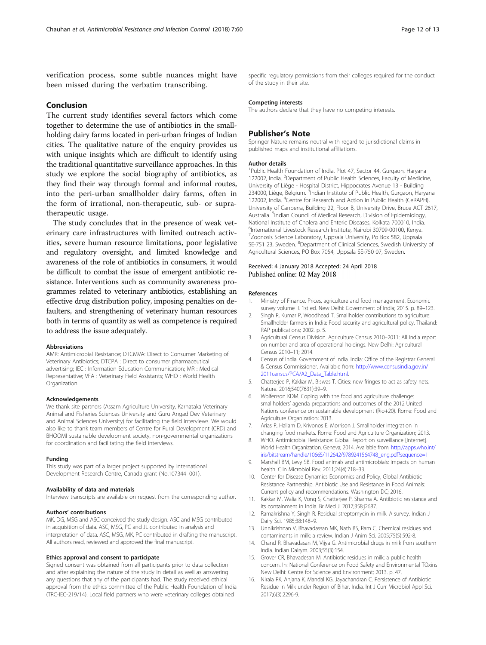<span id="page-11-0"></span>verification process, some subtle nuances might have been missed during the verbatim transcribing.

#### Conclusion

The current study identifies several factors which come together to determine the use of antibiotics in the smallholding dairy farms located in peri-urban fringes of Indian cities. The qualitative nature of the enquiry provides us with unique insights which are difficult to identify using the traditional quantitative surveillance approaches. In this study we explore the social biography of antibiotics, as they find their way through formal and informal routes, into the peri-urban smallholder dairy farms, often in the form of irrational, non-therapeutic, sub- or supratherapeutic usage.

The study concludes that in the presence of weak veterinary care infrastructures with limited outreach activities, severe human resource limitations, poor legislative and regulatory oversight, and limited knowledge and awareness of the role of antibiotics in consumers, it would be difficult to combat the issue of emergent antibiotic resistance. Interventions such as community awareness programmes related to veterinary antibiotics, establishing an effective drug distribution policy, imposing penalties on defaulters, and strengthening of veterinary human resources both in terms of quantity as well as competence is required to address the issue adequately.

#### Abbreviations

AMR: Antimicrobial Resistance; DTCMVA: Direct to Consumer Marketing of Veterinary Antibiotics; DTCPA : Direct to consumer pharmaceutical advertising; IEC : Information Education Communication; MR : Medical Representative; VFA : Veterinary Field Assistants; WHO : World Health Organization

#### Acknowledgements

We thank site partners (Assam Agriculture University, Karnataka Veterinary Animal and Fisheries Sciences University and Guru Angad Dev Veterinary and Animal Sciences University) for facilitating the field interviews. We would also like to thank team members of Centre for Rural Development (CRD) and BHOOMI sustainable development society, non-governmental organizations for coordination and facilitating the field interviews.

#### Funding

This study was part of a larger project supported by International Development Research Centre, Canada grant (No.107344–001).

#### Availability of data and materials

Interview transcripts are available on request from the corresponding author.

#### Authors' contributions

MK, DG, MSG and ASC conceived the study design. ASC and MSG contributed in acquisition of data. ASC, MSG, PC and JL contributed in analysis and interpretation of data. ASC, MSG, MK, PC contributed in drafting the manuscript. All authors read, reviewed and approved the final manuscript.

#### Ethics approval and consent to participate

Signed consent was obtained from all participants prior to data collection and after explaining the nature of the study in detail as well as answering any questions that any of the participants had. The study received ethical approval from the ethics committee of the Public Health Foundation of India (TRC-IEC-219/14). Local field partners who were veterinary colleges obtained

specific regulatory permissions from their colleges required for the conduct of the study in their site.

#### Competing interests

The authors declare that they have no competing interests.

#### Publisher's Note

Springer Nature remains neutral with regard to jurisdictional claims in published maps and institutional affiliations.

#### Author details

<sup>1</sup>Public Health Foundation of India, Plot 47, Sector 44, Gurgaon, Haryana 122002, India. <sup>2</sup>Department of Public Health Sciences, Faculty of Medicine, University of Liège - Hospital District, Hippocrates Avenue 13 - Building 234000, Liège, Belgium. <sup>3</sup>Indian Institute of Public Health, Gurgaon, Haryana 122002, India. <sup>4</sup>Centre for Research and Action in Public Health (CeRAPH), University of Canberra, Building 22, Floor B, University Drive, Bruce ACT 2617, Australia. <sup>5</sup>Indian Council of Medical Research, Division of Epidemiology National Institute of Cholera and Enteric Diseases, Kolkata 700010, India. 6 International Livestock Research Institute, Nairobi 30709-00100, Kenya. 7 Zoonosis Science Laboratory, Uppsala University, Po Box 582, Uppsala SE-751 23, Sweden. <sup>8</sup>Department of Clinical Sciences, Swedish University of Agricultural Sciences, PO Box 7054, Uppsala SE-750 07, Sweden.

#### Received: 4 January 2018 Accepted: 24 April 2018 Published online: 02 May 2018

#### References

- 1. Ministry of Finance. Prices, agriculture and food management. Economic survey volume II. 1st ed. New Delhi: Government of India; 2015. p. 89–123.
- 2. Singh R, Kumar P, Woodhead T. Smallholder contributions to agriculture: Smallholder farmers in India: Food security and agricultural policy. Thailand: RAP publications; 2002. p. 5.
- 3. Agricultural Census Division. Agriculture Census 2010–2011: All India report on number and area of operational holdings. New Delhi: Agricultural Census 2010–11; 2014.
- 4. Census of India. Government of India. India: Office of the Registrar General & Census Commissioner. Available from: [http://www.censusindia.gov.in/](http://www.censusindia.gov.in/2011census/PCA/A2_Data_Table.html) [2011census/PCA/A2\\_Data\\_Table.html.](http://www.censusindia.gov.in/2011census/PCA/A2_Data_Table.html)
- 5. Chatterjee P, Kakkar M, Biswas T. Cities: new fringes to act as safety nets. Nature. 2016;540(7631):39–9.
- 6. Wolfenson KDM. Coping with the food and agriculture challenge: smallholders' agenda preparations and outcomes of the 2012 United Nations conference on sustainable development (Rio+20). Rome: Food and Agriculture Organization; 2013.
- 7. Arias P, Hallam D, Krivonos E, Morrison J. Smallholder integration in changing food markets. Rome: Food and Agriculture Organization; 2013.
- 8. WHO. Antimicrobial Resistance: Global Report on surveillance [Internet]. World Health Organization. Geneva; 2014. Available from: [http://apps.who.int/](http://apps.who.int/iris/bitstream/handle/10665/112642/9789241564748_eng.pdf?sequence=1) [iris/bitstream/handle/10665/112642/9789241564748\\_eng.pdf?sequence=1](http://apps.who.int/iris/bitstream/handle/10665/112642/9789241564748_eng.pdf?sequence=1)
- 9. Marshall BM, Levy SB. Food animals and antimicrobials: impacts on human health. Clin Microbiol Rev. 2011;24(4):718–33.
- 10. Center for Disease Dynamics Economics and Policy, Global Antibiotic Resistance Partnership. Antibiotic Use and Resistance in Food Animals: Current policy and recommendations. Washington DC; 2016.
- 11. Kakkar M, Walia K, Vong S, Chatterjee P, Sharma A. Antibiotic resistance and its containment in India. Br Med J. 2017;358:j2687.
- 12. Ramakrishna Y, Singh R. Residual streptomycin in milk. A survey. Indian J Dairy Sci. 1985;38:148–9.
- 13. Unnikrishnan V, Bhavadassan MK, Nath BS, Ram C. Chemical residues and contaminants in milk: a review. Indian J Anim Sci. 2005;75(5):592-8.
- 14. Chand R, Bhavadasan M, Vijya G. Antimicrobial drugs in milk from southern India. Indian Dairym. 2003;55(3):154.
- 15. Grover CR, Bhavadesan M. Antibiotic residues in milk: a public health concern. In: National Conference on Food Safety and Environmental TOxins New Delhi: Centre for Science and Environment; 2013. p. 47.
- 16. Nirala RK, Anjana K, Mandal KG, Jayachandran C. Persistence of Antibiotic Residue in Milk under Region of Bihar, India. Int J Curr Microbiol Appl Sci. 2017;6(3):2296-9.